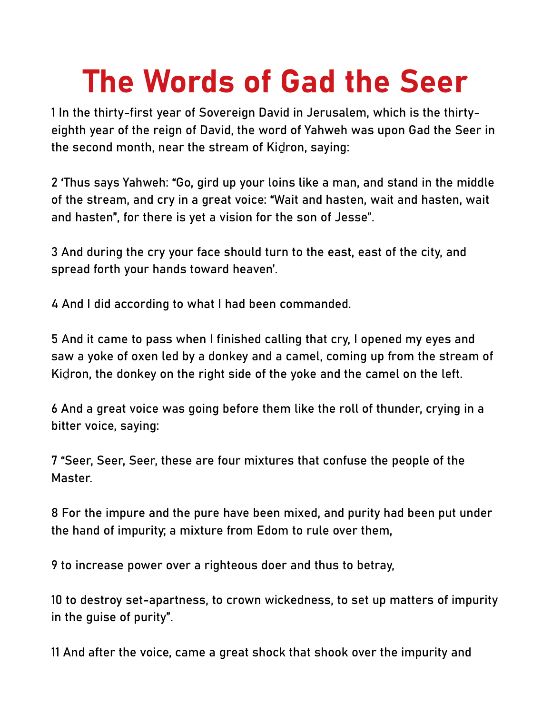## The Words of Gad the Seer

1 In the thirty-first year of Sovereign David in Jerusalem, which is the thirtyeighth year of the reign of David, the word of Yahweh was upon Gad the Seer in the second month, near the stream of Kidron, saying:

2 'Thus says Yahweh: "Go, gird up your loins like a man, and stand in the middle of the stream, and cry in a great voice: "Wait and hasten, wait and hasten, wait and hasten", for there is yet a vision for the son of Jesse".

3 And during the cry your face should turn to the east, east of the city, and spread forth your hands toward heaven'.

4 And I did according to what I had been commanded.

5 And it came to pass when I finished calling that cry, I opened my eyes and saw a yoke of oxen led by a donkey and a camel, coming up from the stream of Kidron, the donkey on the right side of the yoke and the camel on the left.

6 And a great voice was going before them like the roll of thunder, crying in a bitter voice, saying:

7 "Seer, Seer, Seer, these are four mixtures that confuse the people of the Master.

8 For the impure and the pure have been mixed, and purity had been put under the hand of impurity; a mixture from Edom to rule over them,

9 to increase power over a righteous doer and thus to betray,

10 to destroy set-apartness, to crown wickedness, to set up matters of impurity in the guise of purity".

11 And after the voice, came a great shock that shook over the impurity and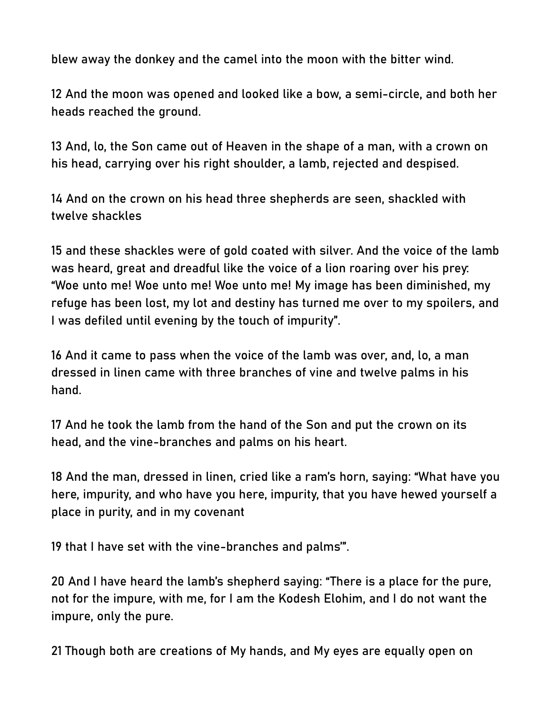blew away the donkey and the camel into the moon with the bitter wind.

12 And the moon was opened and looked like a bow, a semi-circle, and both her heads reached the ground.

13 And, lo, the Son came out of Heaven in the shape of a man, with a crown on his head, carrying over his right shoulder, a lamb, rejected and despised.

14 And on the crown on his head three shepherds are seen, shackled with twelve shackles

15 and these shackles were of gold coated with silver. And the voice of the lamb was heard, great and dreadful like the voice of a lion roaring over his prey: "Woe unto me! Woe unto me! Woe unto me! My image has been diminished, my refuge has been lost, my lot and destiny has turned me over to my spoilers, and I was defiled until evening by the touch of impurity".

16 And it came to pass when the voice of the lamb was over, and, lo, a man dressed in linen came with three branches of vine and twelve palms in his hand.

17 And he took the lamb from the hand of the Son and put the crown on its head, and the vine-branches and palms on his heart.

18 And the man, dressed in linen, cried like a ram's horn, saying: "What have you here, impurity, and who have you here, impurity, that you have hewed yourself a place in purity, and in my covenant

19 that I have set with the vine-branches and palms'".

20 And I have heard the lamb's shepherd saying: "There is a place for the pure, not for the impure, with me, for I am the Kodesh Elohim, and I do not want the impure, only the pure.

21 Though both are creations of My hands, and My eyes are equally open on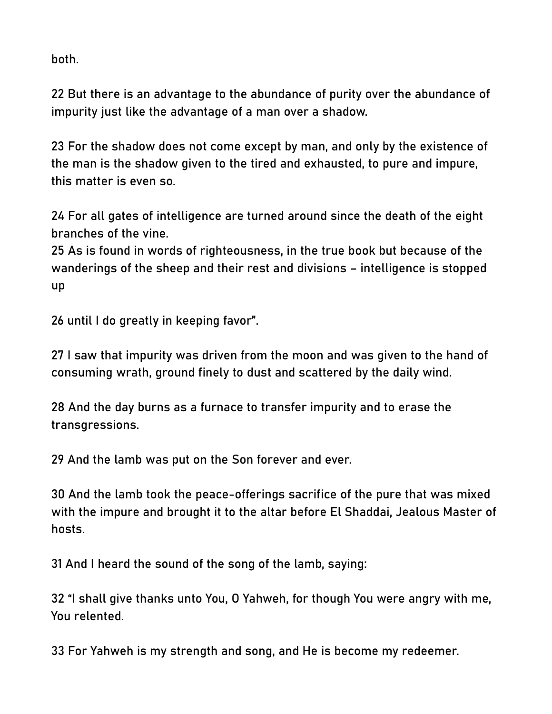both.

22 But there is an advantage to the abundance of purity over the abundance of impurity just like the advantage of a man over a shadow.

23 For the shadow does not come except by man, and only by the existence of the man is the shadow given to the tired and exhausted, to pure and impure, this matter is even so.

24 For all gates of intelligence are turned around since the death of the eight branches of the vine.

25 As is found in words of righteousness, in the true book but because of the wanderings of the sheep and their rest and divisions – intelligence is stopped up

26 until I do greatly in keeping favor".

27 I saw that impurity was driven from the moon and was given to the hand of consuming wrath, ground finely to dust and scattered by the daily wind.

28 And the day burns as a furnace to transfer impurity and to erase the transgressions.

29 And the lamb was put on the Son forever and ever.

30 And the lamb took the peace-offerings sacrifice of the pure that was mixed with the impure and brought it to the altar before El Shaddai, Jealous Master of hosts.

31 And I heard the sound of the song of the lamb, saying:

32 "I shall give thanks unto You, O Yahweh, for though You were angry with me, You relented.

33 For Yahweh is my strength and song, and He is become my redeemer.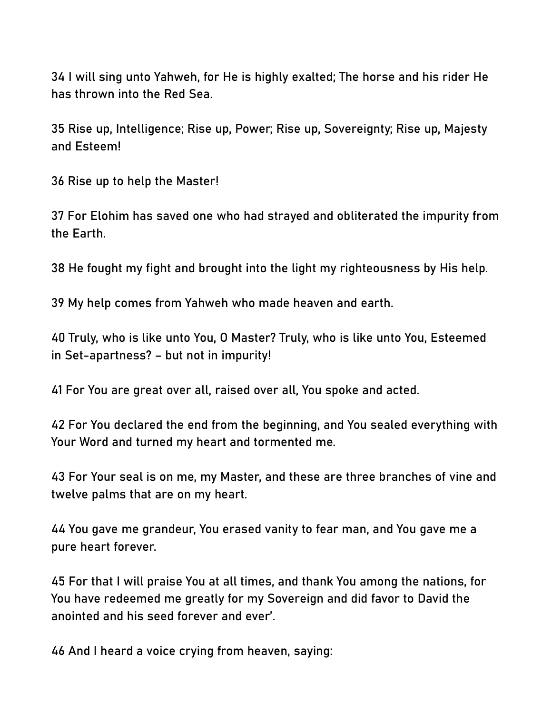34 I will sing unto Yahweh, for He is highly exalted; The horse and his rider He has thrown into the Red Sea.

35 Rise up, Intelligence; Rise up, Power; Rise up, Sovereignty; Rise up, Majesty and Esteem!

36 Rise up to help the Master!

37 For Elohim has saved one who had strayed and obliterated the impurity from the Earth.

38 He fought my fight and brought into the light my righteousness by His help.

39 My help comes from Yahweh who made heaven and earth.

40 Truly, who is like unto You, O Master? Truly, who is like unto You, Esteemed in Set-apartness? – but not in impurity!

41 For You are great over all, raised over all, You spoke and acted.

42 For You declared the end from the beginning, and You sealed everything with Your Word and turned my heart and tormented me.

43 For Your seal is on me, my Master, and these are three branches of vine and twelve palms that are on my heart.

44 You gave me grandeur, You erased vanity to fear man, and You gave me a pure heart forever.

45 For that I will praise You at all times, and thank You among the nations, for You have redeemed me greatly for my Sovereign and did favor to David the anointed and his seed forever and ever'.

46 And I heard a voice crying from heaven, saying: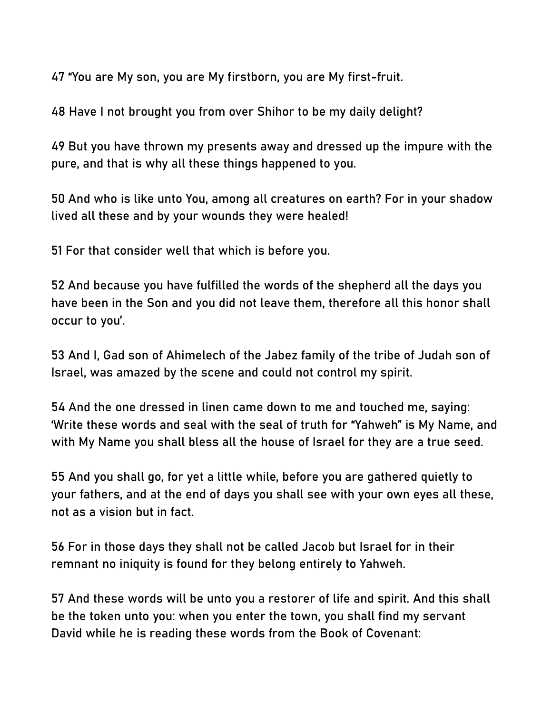47 "You are My son, you are My firstborn, you are My first-fruit.

48 Have I not brought you from over Shihor to be my daily delight?

49 But you have thrown my presents away and dressed up the impure with the pure, and that is why all these things happened to you.

50 And who is like unto You, among all creatures on earth? For in your shadow lived all these and by your wounds they were healed!

51 For that consider well that which is before you.

52 And because you have fulfilled the words of the shepherd all the days you have been in the Son and you did not leave them, therefore all this honor shall occur to you'.

53 And I, Gad son of Ahimelech of the Jabez family of the tribe of Judah son of Israel, was amazed by the scene and could not control my spirit.

54 And the one dressed in linen came down to me and touched me, saying: 'Write these words and seal with the seal of truth for "Yahweh" is My Name, and with My Name you shall bless all the house of Israel for they are a true seed.

55 And you shall go, for yet a little while, before you are gathered quietly to your fathers, and at the end of days you shall see with your own eyes all these, not as a vision but in fact.

56 For in those days they shall not be called Jacob but Israel for in their remnant no iniquity is found for they belong entirely to Yahweh.

57 And these words will be unto you a restorer of life and spirit. And this shall be the token unto you: when you enter the town, you shall find my servant David while he is reading these words from the Book of Covenant: